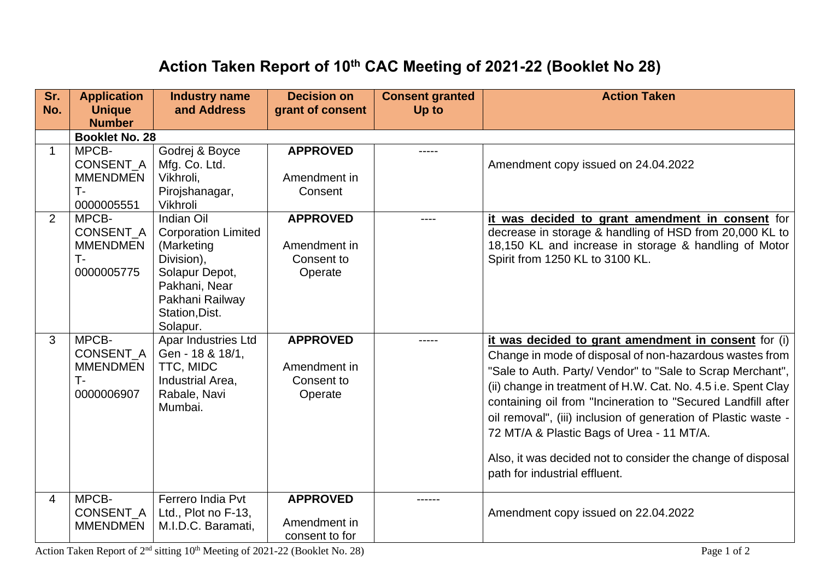## **Action Taken Report of 10th CAC Meeting of 2021-22 (Booklet No 28)**

| Sr.<br>No.     | <b>Application</b><br><b>Unique</b>                              | <b>Industry name</b><br>and Address                                                                                                                      | <b>Decision on</b><br>grant of consent                   | <b>Consent granted</b><br>Up to | <b>Action Taken</b>                                                                                                                                                                                                                                                                                                                                                                                                                                                                                                           |  |  |  |
|----------------|------------------------------------------------------------------|----------------------------------------------------------------------------------------------------------------------------------------------------------|----------------------------------------------------------|---------------------------------|-------------------------------------------------------------------------------------------------------------------------------------------------------------------------------------------------------------------------------------------------------------------------------------------------------------------------------------------------------------------------------------------------------------------------------------------------------------------------------------------------------------------------------|--|--|--|
|                | <b>Number</b>                                                    |                                                                                                                                                          |                                                          |                                 |                                                                                                                                                                                                                                                                                                                                                                                                                                                                                                                               |  |  |  |
|                | <b>Booklet No. 28</b>                                            |                                                                                                                                                          |                                                          |                                 |                                                                                                                                                                                                                                                                                                                                                                                                                                                                                                                               |  |  |  |
| $\mathbf{1}$   | MPCB-<br><b>CONSENT A</b><br><b>MMENDMEN</b><br>т.<br>0000005551 | Godrej & Boyce<br>Mfg. Co. Ltd.<br>Vikhroli,<br>Pirojshanagar,<br>Vikhroli                                                                               | <b>APPROVED</b><br>Amendment in<br>Consent               |                                 | Amendment copy issued on 24.04.2022                                                                                                                                                                                                                                                                                                                                                                                                                                                                                           |  |  |  |
| $\overline{2}$ | MPCB-<br>CONSENT_A<br><b>MMENDMEN</b><br>T-<br>0000005775        | Indian Oil<br><b>Corporation Limited</b><br>(Marketing<br>Division),<br>Solapur Depot,<br>Pakhani, Near<br>Pakhani Railway<br>Station, Dist.<br>Solapur. | <b>APPROVED</b><br>Amendment in<br>Consent to<br>Operate | $---$                           | it was decided to grant amendment in consent for<br>decrease in storage & handling of HSD from 20,000 KL to<br>18,150 KL and increase in storage & handling of Motor<br>Spirit from 1250 KL to 3100 KL.                                                                                                                                                                                                                                                                                                                       |  |  |  |
| 3              | MPCB-<br>CONSENT_A<br><b>MMENDMEN</b><br>T-<br>0000006907        | Apar Industries Ltd<br>Gen - 18 & 18/1,<br>TTC, MIDC<br>Industrial Area,<br>Rabale, Navi<br>Mumbai.                                                      | <b>APPROVED</b><br>Amendment in<br>Consent to<br>Operate |                                 | it was decided to grant amendment in consent for (i)<br>Change in mode of disposal of non-hazardous wastes from<br>"Sale to Auth. Party/ Vendor" to "Sale to Scrap Merchant",<br>(ii) change in treatment of H.W. Cat. No. 4.5 i.e. Spent Clay<br>containing oil from "Incineration to "Secured Landfill after<br>oil removal", (iii) inclusion of generation of Plastic waste -<br>72 MT/A & Plastic Bags of Urea - 11 MT/A.<br>Also, it was decided not to consider the change of disposal<br>path for industrial effluent. |  |  |  |
| 4              | MPCB-<br><b>CONSENT A</b><br><b>MMENDMEN</b>                     | Ferrero India Pvt<br>Ltd., Plot no F-13,<br>M.I.D.C. Baramati,                                                                                           | <b>APPROVED</b><br>Amendment in<br>consent to for        |                                 | Amendment copy issued on 22.04.2022                                                                                                                                                                                                                                                                                                                                                                                                                                                                                           |  |  |  |